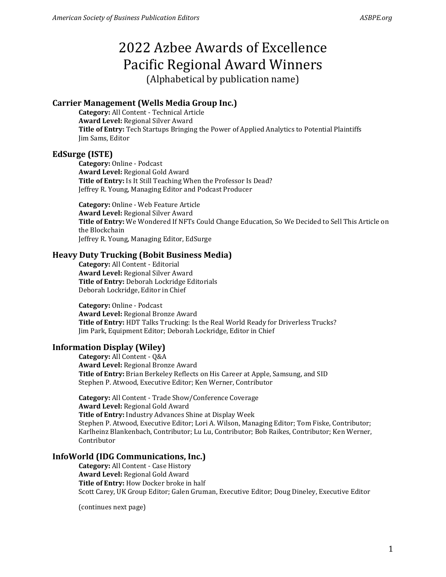# 2022 Azbee Awards of Excellence Pacific Regional Award Winners

(Alphabetical by publication name)

# **Carrier Management (Wells Media Group Inc.)**

**Category:** All Content - Technical Article **Award Level:** Regional Silver Award **Title of Entry:** Tech Startups Bringing the Power of Applied Analytics to Potential Plaintiffs Jim Sams, Editor

## **EdSurge (ISTE)**

**Category:** Online - Podcast **Award Level:** Regional Gold Award **Title of Entry:** Is It Still Teaching When the Professor Is Dead? Jeffrey R. Young, Managing Editor and Podcast Producer

**Category:** Online - Web Feature Article **Award Level:** Regional Silver Award **Title of Entry:** We Wondered If NFTs Could Change Education, So We Decided to Sell This Article on the Blockchain Jeffrey R. Young, Managing Editor, EdSurge

## **Heavy Duty Trucking (Bobit Business Media)**

**Category:** All Content - Editorial **Award Level:** Regional Silver Award **Title of Entry:** Deborah Lockridge Editorials Deborah Lockridge, Editor in Chief

**Category:** Online - Podcast **Award Level:** Regional Bronze Award **Title of Entry:** HDT Talks Trucking: Is the Real World Ready for Driverless Trucks? Jim Park, Equipment Editor; Deborah Lockridge, Editor in Chief

# **Information Display (Wiley)**

**Category:** All Content - Q&A **Award Level:** Regional Bronze Award **Title of Entry:** Brian Berkeley Reflects on His Career at Apple, Samsung, and SID Stephen P. Atwood, Executive Editor; Ken Werner, Contributor

**Category:** All Content - Trade Show/Conference Coverage **Award Level:** Regional Gold Award **Title of Entry:** Industry Advances Shine at Display Week Stephen P. Atwood, Executive Editor; Lori A. Wilson, Managing Editor; Tom Fiske, Contributor; Karlheinz Blankenbach, Contributor; Lu Lu, Contributor; Bob Raikes, Contributor; Ken Werner, Contributor

# **InfoWorld (IDG Communications, Inc.)**

**Category:** All Content - Case History **Award Level:** Regional Gold Award **Title of Entry:** How Docker broke in half Scott Carey, UK Group Editor; Galen Gruman, Executive Editor; Doug Dineley, Executive Editor

(continues next page)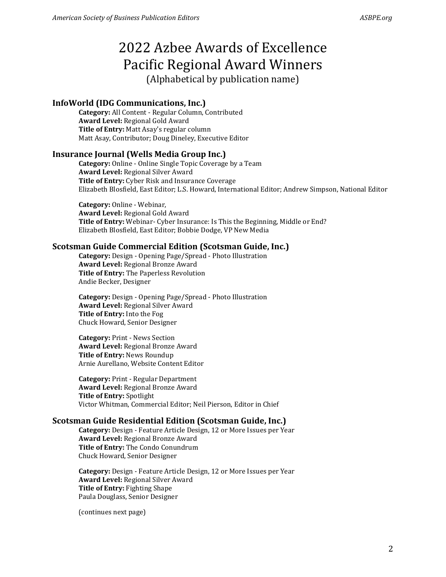# 2022 Azbee Awards of Excellence Pacific Regional Award Winners (Alphabetical by publication name)

# **InfoWorld (IDG Communications, Inc.)**

**Category:** All Content - Regular Column, Contributed **Award Level:** Regional Gold Award **Title of Entry:** Matt Asay's regular column Matt Asay, Contributor; Doug Dineley, Executive Editor

#### **Insurance Journal (Wells Media Group Inc.)**

**Category:** Online - Online Single Topic Coverage by a Team **Award Level:** Regional Silver Award **Title of Entry:** Cyber Risk and Insurance Coverage Elizabeth Blosfield, East Editor; L.S. Howard, International Editor; Andrew Simpson, National Editor

**Category:** Online - Webinar, **Award Level:** Regional Gold Award **Title of Entry:** Webinar- Cyber Insurance: Is This the Beginning, Middle or End? Elizabeth Blosfield, East Editor; Bobbie Dodge, VP New Media

#### **Scotsman Guide Commercial Edition (Scotsman Guide, Inc.)**

**Category:** Design - Opening Page/Spread - Photo Illustration **Award Level:** Regional Bronze Award **Title of Entry:** The Paperless Revolution Andie Becker, Designer

**Category:** Design - Opening Page/Spread - Photo Illustration **Award Level:** Regional Silver Award **Title of Entry:** Into the Fog Chuck Howard, Senior Designer

**Category:** Print - News Section **Award Level:** Regional Bronze Award **Title of Entry:** News Roundup Arnie Aurellano, Website Content Editor

**Category:** Print - Regular Department **Award Level:** Regional Bronze Award **Title of Entry:** Spotlight Victor Whitman, Commercial Editor; Neil Pierson, Editor in Chief

#### **Scotsman Guide Residential Edition (Scotsman Guide, Inc.)**

**Category:** Design - Feature Article Design, 12 or More Issues per Year **Award Level:** Regional Bronze Award **Title of Entry:** The Condo Conundrum Chuck Howard, Senior Designer

**Category:** Design - Feature Article Design, 12 or More Issues per Year **Award Level:** Regional Silver Award **Title of Entry:** Fighting Shape Paula Douglass, Senior Designer

(continues next page)